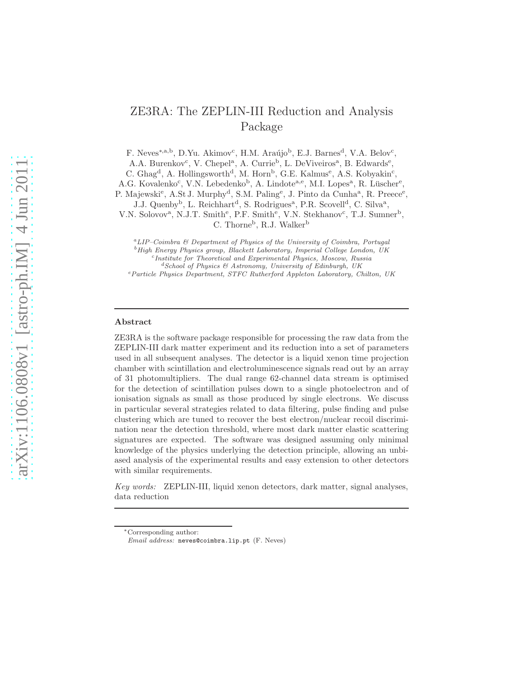# ZE3RA: The ZEPLIN-III Reduction and Analysis Package

F. Neves<sup>\*,a,b</sup>, D.Yu. Akimov<sup>c</sup>, H.M. Araújo<sup>b</sup>, E.J. Barnes<sup>d</sup>, V.A. Belov<sup>c</sup>,

A.A. Burenkov<sup>c</sup>, V. Chepel<sup>a</sup>, A. Currie<sup>b</sup>, L. DeViveiros<sup>a</sup>, B. Edwards<sup>e</sup>,

C. Ghag<sup>d</sup>, A. Hollingsworth<sup>d</sup>, M. Horn<sup>b</sup>, G.E. Kalmus<sup>e</sup>, A.S. Kobyakin<sup>c</sup>,

A.G. Kovalenko<sup>c</sup>, V.N. Lebedenko<sup>b</sup>, A. Lindote<sup>a,e</sup>, M.I. Lopes<sup>a</sup>, R. Lüscher<sup>e</sup>,

P. Majewski<sup>e</sup>, A.St J. Murphy<sup>d</sup>, S.M. Paling<sup>e</sup>, J. Pinto da Cunha<sup>a</sup>, R. Preece<sup>e</sup>,

J.J. Quenby<sup>b</sup>, L. Reichhart<sup>d</sup>, S. Rodrigues<sup>a</sup>, P.R. Scovell<sup>d</sup>, C. Silva<sup>a</sup>,

V.N. Solovov<sup>a</sup>, N.J.T. Smith<sup>e</sup>, P.F. Smith<sup>e</sup>, V.N. Stekhanov<sup>c</sup>, T.J. Sumner<sup>b</sup>, C. Thorne<sup>b</sup>, R.J. Walker<sup>b</sup>

 $^{a}$ LIP–Coimbra  $\ell$  Department of Physics of the University of Coimbra, Portugal <sup>b</sup> High Energy Physics group, Blackett Laboratory, Imperial College London, UK Institute for Theoretical and Experimental Physics, Moscow, Russia

 ${}^{d}S$ chool of Physics & Astronomy, University of Edinburgh, UK

 $e$ Particle Physics Department, STFC Rutherford Appleton Laboratory, Chilton, UK

#### Abstract

ZE3RA is the software package responsible for processing the raw data from the ZEPLIN-III dark matter experiment and its reduction into a set of parameters used in all subsequent analyses. The detector is a liquid xenon time projection chamber with scintillation and electroluminescence signals read out by an array of 31 photomultipliers. The dual range 62-channel data stream is optimised for the detection of scintillation pulses down to a single photoelectron and of ionisation signals as small as those produced by single electrons. We discuss in particular several strategies related to data filtering, pulse finding and pulse clustering which are tuned to recover the best electron/nuclear recoil discrimination near the detection threshold, where most dark matter elastic scattering signatures are expected. The software was designed assuming only minimal knowledge of the physics underlying the detection principle, allowing an unbiased analysis of the experimental results and easy extension to other detectors with similar requirements.

Key words: ZEPLIN-III, liquid xenon detectors, dark matter, signal analyses, data reduction

<sup>∗</sup>Corresponding author:

Email address: neves@coimbra.lip.pt (F. Neves)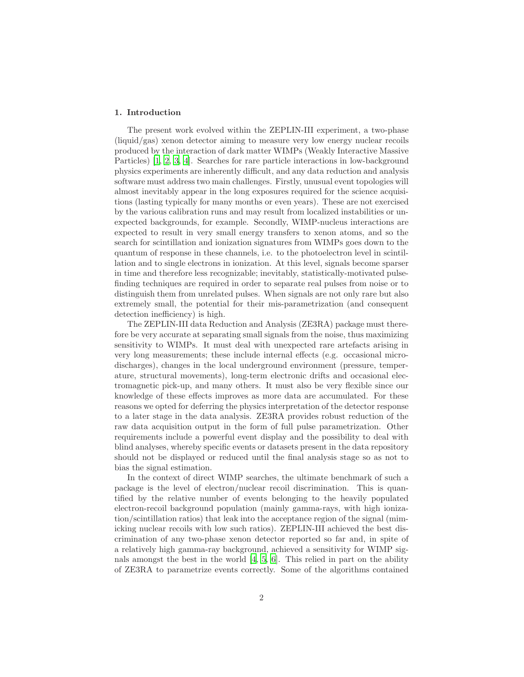# 1. Introduction

The present work evolved within the ZEPLIN-III experiment, a two-phase (liquid/gas) xenon detector aiming to measure very low energy nuclear recoils produced by the interaction of dark matter WIMPs (Weakly Interactive Massive Particles) [\[1](#page-17-0), [2,](#page-17-1) [3,](#page-17-2) [4](#page-17-3)]. Searches for rare particle interactions in low-background physics experiments are inherently difficult, and any data reduction and analysis software must address two main challenges. Firstly, unusual event topologies will almost inevitably appear in the long exposures required for the science acquisitions (lasting typically for many months or even years). These are not exercised by the various calibration runs and may result from localized instabilities or unexpected backgrounds, for example. Secondly, WIMP-nucleus interactions are expected to result in very small energy transfers to xenon atoms, and so the search for scintillation and ionization signatures from WIMPs goes down to the quantum of response in these channels, i.e. to the photoelectron level in scintillation and to single electrons in ionization. At this level, signals become sparser in time and therefore less recognizable; inevitably, statistically-motivated pulsefinding techniques are required in order to separate real pulses from noise or to distinguish them from unrelated pulses. When signals are not only rare but also extremely small, the potential for their mis-parametrization (and consequent detection inefficiency) is high.

The ZEPLIN-III data Reduction and Analysis (ZE3RA) package must therefore be very accurate at separating small signals from the noise, thus maximizing sensitivity to WIMPs. It must deal with unexpected rare artefacts arising in very long measurements; these include internal effects (e.g. occasional microdischarges), changes in the local underground environment (pressure, temperature, structural movements), long-term electronic drifts and occasional electromagnetic pick-up, and many others. It must also be very flexible since our knowledge of these effects improves as more data are accumulated. For these reasons we opted for deferring the physics interpretation of the detector response to a later stage in the data analysis. ZE3RA provides robust reduction of the raw data acquisition output in the form of full pulse parametrization. Other requirements include a powerful event display and the possibility to deal with blind analyses, whereby specific events or datasets present in the data repository should not be displayed or reduced until the final analysis stage so as not to bias the signal estimation.

In the context of direct WIMP searches, the ultimate benchmark of such a package is the level of electron/nuclear recoil discrimination. This is quantified by the relative number of events belonging to the heavily populated electron-recoil background population (mainly gamma-rays, with high ionization/scintillation ratios) that leak into the acceptance region of the signal (mimicking nuclear recoils with low such ratios). ZEPLIN-III achieved the best discrimination of any two-phase xenon detector reported so far and, in spite of a relatively high gamma-ray background, achieved a sensitivity for WIMP signals amongst the best in the world [\[4](#page-17-3), [5,](#page-17-4) [6](#page-17-5)]. This relied in part on the ability of ZE3RA to parametrize events correctly. Some of the algorithms contained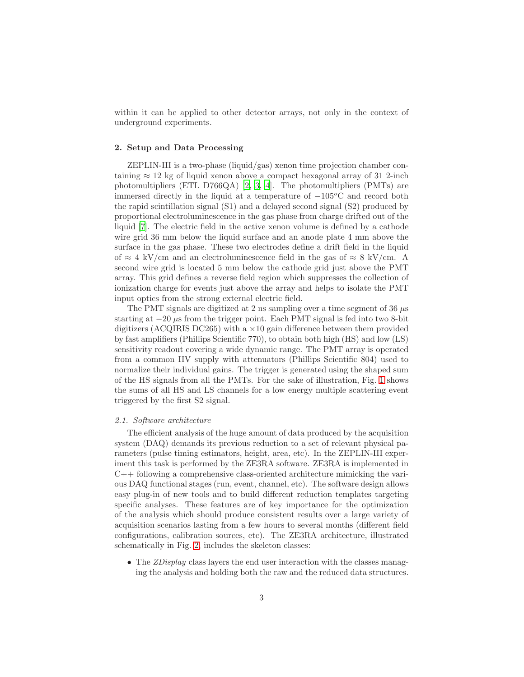within it can be applied to other detector arrays, not only in the context of underground experiments.

#### 2. Setup and Data Processing

ZEPLIN-III is a two-phase (liquid/gas) xenon time projection chamber containing  $\approx 12$  kg of liquid xenon above a compact hexagonal array of 31 2-inch photomultipliers (ETL D766QA) [\[2](#page-17-1), [3](#page-17-2), [4](#page-17-3)]. The photomultipliers (PMTs) are immersed directly in the liquid at a temperature of  $-105\textdegree\textdegree C$  and record both the rapid scintillation signal (S1) and a delayed second signal (S2) produced by proportional electroluminescence in the gas phase from charge drifted out of the liquid [\[7\]](#page-17-6). The electric field in the active xenon volume is defined by a cathode wire grid 36 mm below the liquid surface and an anode plate 4 mm above the surface in the gas phase. These two electrodes define a drift field in the liquid of  $\approx 4 \text{ kV/cm}$  and an electroluminescence field in the gas of  $\approx 8 \text{ kV/cm}$ . A second wire grid is located 5 mm below the cathode grid just above the PMT array. This grid defines a reverse field region which suppresses the collection of ionization charge for events just above the array and helps to isolate the PMT input optics from the strong external electric field.

The PMT signals are digitized at 2 ns sampling over a time segment of 36  $\mu$ s starting at  $-20 \mu s$  from the trigger point. Each PMT signal is fed into two 8-bit digitizers (ACQIRIS DC265) with a  $\times$ 10 gain difference between them provided by fast amplifiers (Phillips Scientific 770), to obtain both high (HS) and low (LS) sensitivity readout covering a wide dynamic range. The PMT array is operated from a common HV supply with attenuators (Phillips Scientific 804) used to normalize their individual gains. The trigger is generated using the shaped sum of the HS signals from all the PMTs. For the sake of illustration, Fig. [1](#page-3-0) shows the sums of all HS and LS channels for a low energy multiple scattering event triggered by the first S2 signal.

## 2.1. Software architecture

The efficient analysis of the huge amount of data produced by the acquisition system (DAQ) demands its previous reduction to a set of relevant physical parameters (pulse timing estimators, height, area, etc). In the ZEPLIN-III experiment this task is performed by the ZE3RA software. ZE3RA is implemented in C++ following a comprehensive class-oriented architecture mimicking the various DAQ functional stages (run, event, channel, etc). The software design allows easy plug-in of new tools and to build different reduction templates targeting specific analyses. These features are of key importance for the optimization of the analysis which should produce consistent results over a large variety of acquisition scenarios lasting from a few hours to several months (different field configurations, calibration sources, etc). The ZE3RA architecture, illustrated schematically in Fig. [2,](#page-4-0) includes the skeleton classes:

• The *ZDisplay* class layers the end user interaction with the classes managing the analysis and holding both the raw and the reduced data structures.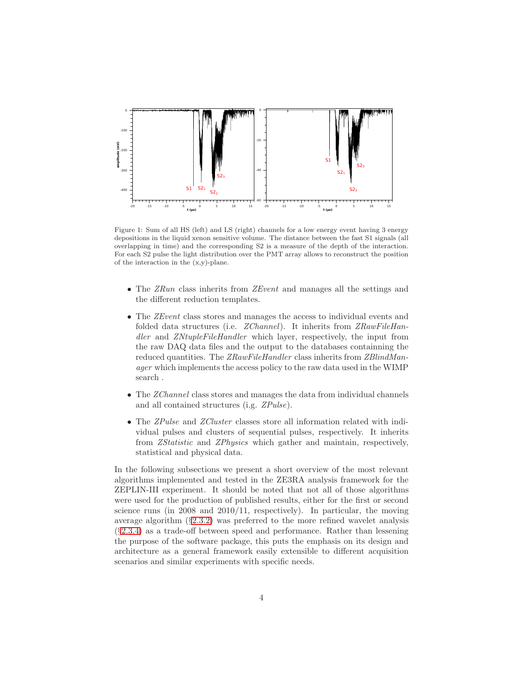

<span id="page-3-0"></span>Figure 1: Sum of all HS (left) and LS (right) channels for a low energy event having 3 energy depositions in the liquid xenon sensitive volume. The distance between the fast S1 signals (all overlapping in time) and the corresponding S2 is a measure of the depth of the interaction. For each S2 pulse the light distribution over the PMT array allows to reconstruct the position of the interaction in the (x,y)-plane.

- The ZRun class inherits from ZEvent and manages all the settings and the different reduction templates.
- The *ZEvent* class stores and manages the access to individual events and folded data structures (i.e. *ZChannel*). It inherits from *ZRawFileHan*dler and ZNtupleFileHandler which layer, respectively, the input from the raw DAQ data files and the output to the databases containning the reduced quantities. The ZRawFileHandler class inherits from ZBlindManager which implements the access policy to the raw data used in the WIMP search .
- The ZChannel class stores and manages the data from individual channels and all contained structures (i.g. ZPulse).
- The ZPulse and ZCluster classes store all information related with individual pulses and clusters of sequential pulses, respectively. It inherits from ZStatistic and ZPhysics which gather and maintain, respectively, statistical and physical data.

In the following subsections we present a short overview of the most relevant algorithms implemented and tested in the ZE3RA analysis framework for the ZEPLIN-III experiment. It should be noted that not all of those algorithms were used for the production of published results, either for the first or second science runs (in 2008 and 2010/11, respectively). In particular, the moving average algorithm (§[2.3.2\)](#page-5-0) was preferred to the more refined wavelet analysis (§[2.3.4\)](#page-6-0) as a trade-off between speed and performance. Rather than lessening the purpose of the software package, this puts the emphasis on its design and architecture as a general framework easily extensible to different acquisition scenarios and similar experiments with specific needs.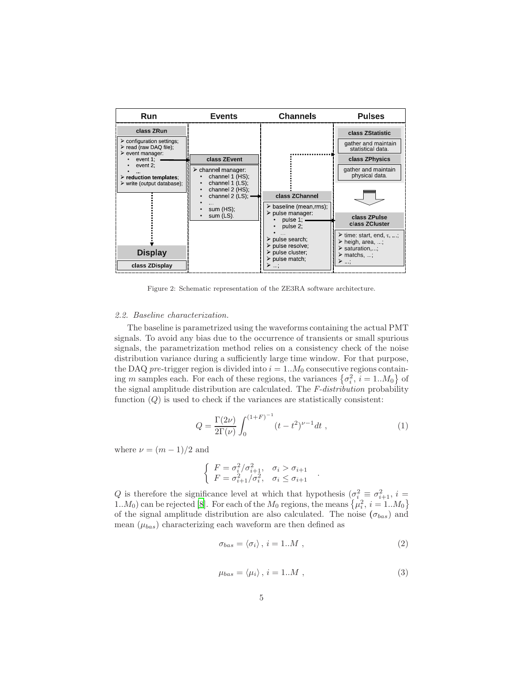

<span id="page-4-0"></span>Figure 2: Schematic representation of the ZE3RA software architecture.

## <span id="page-4-3"></span>2.2. Baseline characterization.

The baseline is parametrized using the waveforms containing the actual PMT signals. To avoid any bias due to the occurrence of transients or small spurious signals, the parametrization method relies on a consistency check of the noise distribution variance during a sufficiently large time window. For that purpose, the DAQ pre-trigger region is divided into  $i = 1..M_0$  consecutive regions containing m samples each. For each of these regions, the variances  $\{\sigma_i^2, i = 1..M_0\}$  of the signal amplitude distribution are calculated. The F-distribution probability function  $(Q)$  is used to check if the variances are statistically consistent:

$$
Q = \frac{\Gamma(2\nu)}{2\Gamma(\nu)} \int_0^{(1+F)^{-1}} (t - t^2)^{\nu - 1} dt , \qquad (1)
$$

where  $\nu = (m-1)/2$  and

$$
\begin{cases}\nF = \sigma_i^2/\sigma_{i+1}^2, & \sigma_i > \sigma_{i+1} \\
F = \sigma_{i+1}^2/\sigma_i^2, & \sigma_i \le \sigma_{i+1}\n\end{cases}
$$

Q is therefore the significance level at which that hypothesis  $(\sigma_i^2 \equiv \sigma_{i+1}^2, i =$ 1.. $M_0$ ) can be rejected [\[8](#page-17-7)]. For each of the  $M_0$  regions, the means  $\{\mu_i^2, i = 1..M_0\}$ of the signal amplitude distribution are also calculated. The noise  $(\sigma_{bas})$  and mean  $(\mu_{bas})$  characterizing each waveform are then defined as

<span id="page-4-1"></span>
$$
\sigma_{bas} = \langle \sigma_i \rangle \, , \, i = 1...M \, , \tag{2}
$$

.

<span id="page-4-2"></span>
$$
\mu_{bas} = \langle \mu_i \rangle \, , \, i = 1...M \, , \tag{3}
$$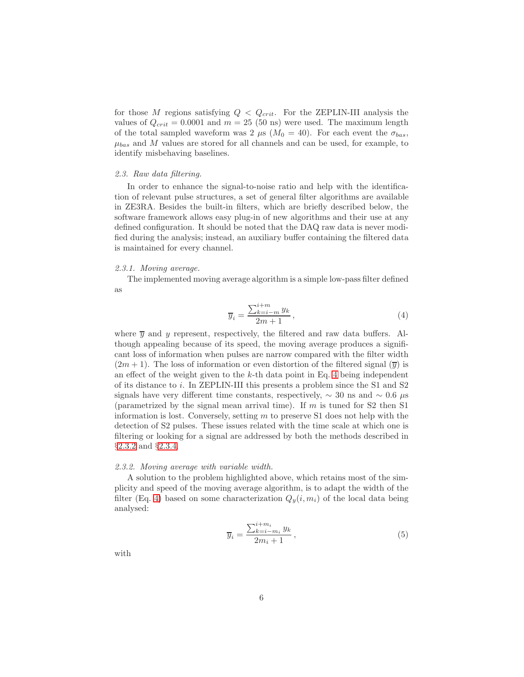for those M regions satisfying  $Q < Q_{crit}$ . For the ZEPLIN-III analysis the values of  $Q_{crit} = 0.0001$  and  $m = 25$  (50 ns) were used. The maximum length of the total sampled waveform was 2  $\mu$ s ( $M_0 = 40$ ). For each event the  $\sigma_{bas}$ ,  $\mu_{bas}$  and M values are stored for all channels and can be used, for example, to identify misbehaving baselines.

## <span id="page-5-2"></span>2.3. Raw data filtering.

In order to enhance the signal-to-noise ratio and help with the identification of relevant pulse structures, a set of general filter algorithms are available in ZE3RA. Besides the built-in filters, which are briefly described below, the software framework allows easy plug-in of new algorithms and their use at any defined configuration. It should be noted that the DAQ raw data is never modified during the analysis; instead, an auxiliary buffer containing the filtered data is maintained for every channel.

# 2.3.1. Moving average.

The implemented moving average algorithm is a simple low-pass filter defined as

<span id="page-5-1"></span>
$$
\overline{y}_i = \frac{\sum_{k=i-m}^{i+m} y_k}{2m+1},\tag{4}
$$

where  $\overline{y}$  and y represent, respectively, the filtered and raw data buffers. Although appealing because of its speed, the moving average produces a significant loss of information when pulses are narrow compared with the filter width  $(2m+1)$ . The loss of information or even distortion of the filtered signal  $(\overline{y})$  is an effect of the weight given to the  $k$ -th data point in Eq. [4](#page-5-1) being independent of its distance to i. In ZEPLIN-III this presents a problem since the S1 and S2 signals have very different time constants, respectively,  $\sim 30$  ns and  $\sim 0.6 \mu s$ (parametrized by the signal mean arrival time). If m is tuned for  $S2$  then  $S1$ information is lost. Conversely, setting  $m$  to preserve S1 does not help with the detection of S2 pulses. These issues related with the time scale at which one is filtering or looking for a signal are addressed by both the methods described in §[2.3.2](#page-5-0) and §[2.3.4.](#page-6-0)

#### <span id="page-5-0"></span>2.3.2. Moving average with variable width.

A solution to the problem highlighted above, which retains most of the simplicity and speed of the moving average algorithm, is to adapt the width of the filter (Eq. [4\)](#page-5-1) based on some characterization  $Q_u(i, m_i)$  of the local data being analysed:

$$
\overline{y}_i = \frac{\sum_{k=i-m_i}^{i+m_i} y_k}{2m_i + 1},\tag{5}
$$

with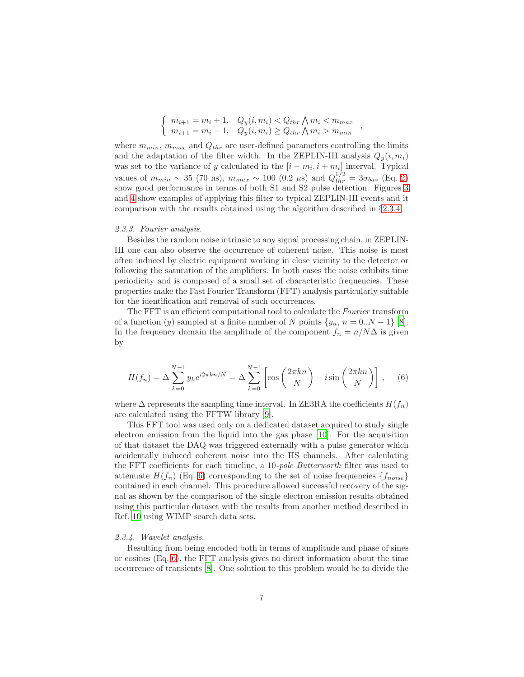$$
\begin{cases} m_{i+1} = m_i + 1, & Q_y(i, m_i) < Q_{thr} \land m_i < m_{max} \\ m_{i+1} = m_i - 1, & Q_y(i, m_i) \ge Q_{thr} \land m_i > m_{min} \end{cases}
$$

,

where  $m_{min}$ ,  $m_{max}$  and  $Q_{thr}$  are user-defined parameters controlling the limits and the adaptation of the filter width. In the ZEPLIN-III analysis  $Q_u(i, m_i)$ was set to the variance of y calculated in the  $[i - m_i, i + m_i]$  interval. Typical values of  $m_{min} \sim 35$  (70 ns),  $m_{max} \sim 100$  (0.2 µs) and  $Q_{thr}^{1/2} = 3\sigma_{bas}$  (Eq. [2\)](#page-4-1) show good performance in terms of both S1 and S2 pulse detection. Figures [3](#page-8-0) and [4](#page-9-0) show examples of applying this filter to typical ZEPLIN-III events and it comparison with the results obtained using the algorithm described in §[2.3.4.](#page-6-0)

#### 2.3.3. Fourier analysis.

Besides the random noise intrinsic to any signal processing chain, in ZEPLIN-III one can also observe the occurrence of coherent noise. This noise is most often induced by electric equipment working in close vicinity to the detector or following the saturation of the amplifiers. In both cases the noise exhibits time periodicity and is composed of a small set of characteristic frequencies. These properties make the Fast Fourier Transform (FFT) analysis particularly suitable for the identification and removal of such occurrences.

The FFT is an efficient computational tool to calculate the Fourier transform of a function (y) sampled at a finite number of N points  $\{y_n, n = 0..N-1\}$  [\[8\]](#page-17-7). In the frequency domain the amplitude of the component  $f_n = n/N\Delta$  is given by

<span id="page-6-1"></span>
$$
H(f_n) = \Delta \sum_{k=0}^{N-1} y_k e^{i2\pi k n/N} = \Delta \sum_{k=0}^{N-1} \left[ \cos \left( \frac{2\pi k n}{N} \right) - i \sin \left( \frac{2\pi k n}{N} \right) \right], \quad (6)
$$

where  $\Delta$  represents the sampling time interval. In ZE3RA the coefficients  $H(f_n)$ are calculated using the FFTW library [\[9\]](#page-17-8).

This FFT tool was used only on a dedicated dataset acquired to study single electron emission from the liquid into the gas phase [\[10\]](#page-17-9). For the acquisition of that dataset the DAQ was triggered externally with a pulse generator which accidentally induced coherent noise into the HS channels. After calculating the FFT coefficients for each timeline, a 10-pole Butterworth filter was used to attenuate  $H(f_n)$  (Eq. [6\)](#page-6-1) corresponding to the set of noise frequencies  $\{f_{noise}\}$ contained in each channel. This procedure allowed successful recovery of the signal as shown by the comparison of the single electron emission results obtained using this particular dataset with the results from another method described in Ref. [10](#page-17-9) using WIMP search data sets.

## <span id="page-6-0"></span>2.3.4. Wavelet analysis.

Resulting from being encoded both in terms of amplitude and phase of sines or cosines (Eq. [6\)](#page-6-1), the FFT analysis gives no direct information about the time occurrence of transients [\[8](#page-17-7)]. One solution to this problem would be to divide the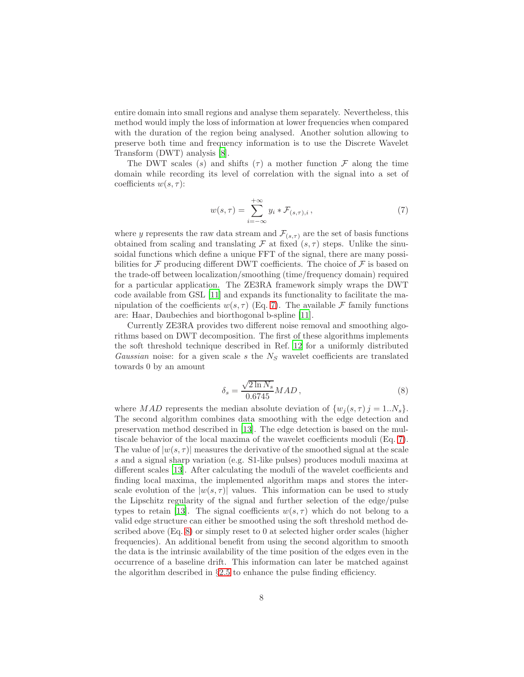entire domain into small regions and analyse them separately. Nevertheless, this method would imply the loss of information at lower frequencies when compared with the duration of the region being analysed. Another solution allowing to preserve both time and frequency information is to use the Discrete Wavelet Transform (DWT) analysis [\[8\]](#page-17-7).

The DWT scales (s) and shifts ( $\tau$ ) a mother function  $\mathcal F$  along the time domain while recording its level of correlation with the signal into a set of coefficients  $w(s, \tau)$ :

<span id="page-7-0"></span>
$$
w(s,\tau) = \sum_{i=-\infty}^{+\infty} y_i * \mathcal{F}_{(s,\tau),i},\tag{7}
$$

where y represents the raw data stream and  $\mathcal{F}_{(s,\tau)}$  are the set of basis functions obtained from scaling and translating  $\mathcal F$  at fixed  $(s, \tau)$  steps. Unlike the sinusoidal functions which define a unique FFT of the signal, there are many possibilities for  $\mathcal F$  producing different DWT coefficients. The choice of  $\mathcal F$  is based on the trade-off between localization/smoothing (time/frequency domain) required for a particular application. The ZE3RA framework simply wraps the DWT code available from GSL [\[11\]](#page-17-10) and expands its functionality to facilitate the manipulation of the coefficients  $w(s, \tau)$  (Eq. [7\)](#page-7-0). The available F family functions are: Haar, Daubechies and biorthogonal b-spline [\[11](#page-17-10)].

Currently ZE3RA provides two different noise removal and smoothing algorithms based on DWT decomposition. The first of these algorithms implements the soft threshold technique described in Ref. [12](#page-17-11) for a uniformly distributed Gaussian noise: for a given scale s the  $N<sub>S</sub>$  wavelet coefficients are translated towards 0 by an amount

<span id="page-7-1"></span>
$$
\delta_s = \frac{\sqrt{2 \ln N_s}}{0.6745} MAD,
$$
\n(8)

where MAD represents the median absolute deviation of  $\{w_i(s, \tau)\}\ = 1..N_s\}.$ The second algorithm combines data smoothing with the edge detection and preservation method described in [\[13\]](#page-17-12). The edge detection is based on the multiscale behavior of the local maxima of the wavelet coefficients moduli (Eq. [7\)](#page-7-0). The value of  $|w(s, \tau)|$  measures the derivative of the smoothed signal at the scale s and a signal sharp variation (e.g. S1-like pulses) produces moduli maxima at different scales [\[13\]](#page-17-12). After calculating the moduli of the wavelet coefficients and finding local maxima, the implemented algorithm maps and stores the interscale evolution of the  $|w(s, \tau)|$  values. This information can be used to study the Lipschitz regularity of the signal and further selection of the edge/pulse types to retain [\[13](#page-17-12)]. The signal coefficients  $w(s, \tau)$  which do not belong to a valid edge structure can either be smoothed using the soft threshold method described above (Eq. [8\)](#page-7-1) or simply reset to 0 at selected higher order scales (higher frequencies). An additional benefit from using the second algorithm to smooth the data is the intrinsic availability of the time position of the edges even in the occurrence of a baseline drift. This information can later be matched against the algorithm described in  $\S2.5$  $\S2.5$  to enhance the pulse finding efficiency.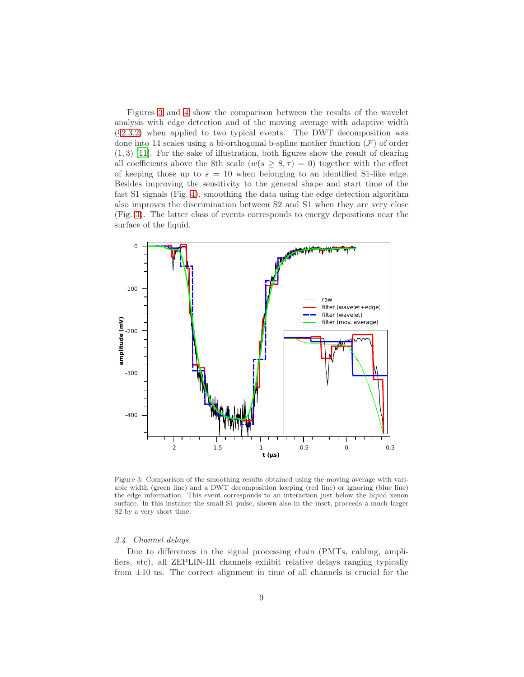Figures [3](#page-8-0) and [4](#page-9-0) show the comparison between the results of the wavelet analysis with edge detection and of the moving average with adaptive width (§[2.3.2\)](#page-5-0) when applied to two typical events. The DWT decomposition was done into 14 scales using a bi-orthogonal b-spline mother function  $(F)$  of order  $(1, 3)$  [\[11](#page-17-10)]. For the sake of illustration, both figures show the result of clearing all coefficients above the 8th scale  $(w(s \geq 8, \tau) = 0)$  together with the effect of keeping those up to  $s = 10$  when belonging to an identified S1-like edge. Besides improving the sensitivity to the general shape and start time of the fast S1 signals (Fig. [4\)](#page-9-0), smoothing the data using the edge detection algorithm also improves the discrimination between S2 and S1 when they are very close (Fig. [3\)](#page-8-0). The latter class of events corresponds to energy depositions near the surface of the liquid.



<span id="page-8-0"></span>Figure 3: Comparison of the smoothing results obtained using the moving average with variable width (green line) and a DWT decomposition keeping (red line) or ignoring (blue line) the edge information. This event corresponds to an interaction just below the liquid xenon surface. In this instance the small S1 pulse, shown also in the inset, proceeds a much larger S2 by a very short time.

## 2.4. Channel delays.

Due to differences in the signal processing chain (PMTs, cabling, amplifiers, etc), all ZEPLIN-III channels exhibit relative delays ranging typically from  $\pm 10$  ns. The correct alignment in time of all channels is crucial for the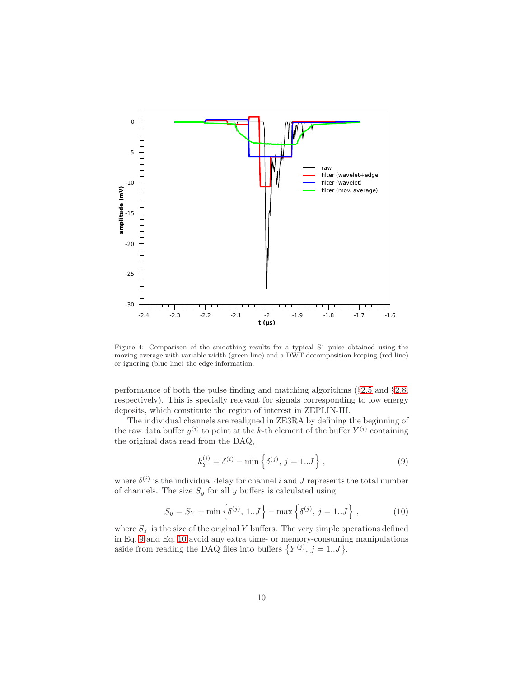

<span id="page-9-0"></span>Figure 4: Comparison of the smoothing results for a typical S1 pulse obtained using the moving average with variable width (green line) and a DWT decomposition keeping (red line) or ignoring (blue line) the edge information.

performance of both the pulse finding and matching algorithms (§[2.5](#page-10-0) and §[2.8,](#page-13-0) respectively). This is specially relevant for signals corresponding to low energy deposits, which constitute the region of interest in ZEPLIN-III.

The individual channels are realigned in ZE3RA by defining the beginning of the raw data buffer  $y^{(i)}$  to point at the k-th element of the buffer  $Y^{(i)}$  containing the original data read from the DAQ,

<span id="page-9-1"></span>
$$
k_Y^{(i)} = \delta^{(i)} - \min\left\{\delta^{(j)}, j = 1..J\right\},\tag{9}
$$

where  $\delta^{(i)}$  is the individual delay for channel i and J represents the total number of channels. The size  $S_y$  for all y buffers is calculated using

<span id="page-9-2"></span>
$$
S_y = S_Y + \min\left\{\delta^{(j)}, 1..J\right\} - \max\left\{\delta^{(j)}, j = 1..J\right\},\tag{10}
$$

where  $S_Y$  is the size of the original Y buffers. The very simple operations defined in Eq. [9](#page-9-1) and Eq. [10](#page-9-2) avoid any extra time- or memory-consuming manipulations aside from reading the DAQ files into buffers  $\{Y^{(j)}, j = 1...J\}$ .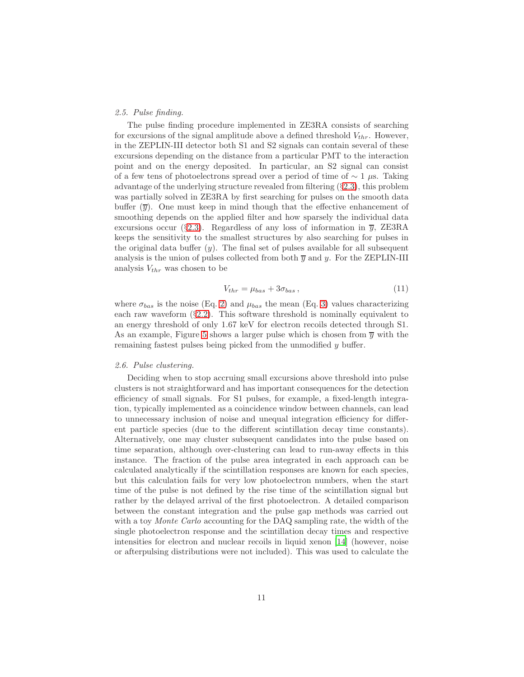# <span id="page-10-0"></span>2.5. Pulse finding.

The pulse finding procedure implemented in ZE3RA consists of searching for excursions of the signal amplitude above a defined threshold  $V_{thr}$ . However, in the ZEPLIN-III detector both S1 and S2 signals can contain several of these excursions depending on the distance from a particular PMT to the interaction point and on the energy deposited. In particular, an S2 signal can consist of a few tens of photoelectrons spread over a period of time of  $\sim 1 \mu$ s. Taking advantage of the underlying structure revealed from filtering (§[2.3\)](#page-5-2), this problem was partially solved in ZE3RA by first searching for pulses on the smooth data buffer  $(\overline{y})$ . One must keep in mind though that the effective enhancement of smoothing depends on the applied filter and how sparsely the individual data excursions occur (§[2.3\)](#page-5-2). Regardless of any loss of information in  $\overline{y}$ , ZE3RA keeps the sensitivity to the smallest structures by also searching for pulses in the original data buffer  $(y)$ . The final set of pulses available for all subsequent analysis is the union of pulses collected from both  $\overline{y}$  and y. For the ZEPLIN-III analysis  $V_{thr}$  was chosen to be

<span id="page-10-2"></span>
$$
V_{thr} = \mu_{bas} + 3\sigma_{bas} \,,\tag{11}
$$

where  $\sigma_{bas}$  is the noise (Eq. [2\)](#page-4-1) and  $\mu_{bas}$  the mean (Eq. [3\)](#page-4-2) values characterizing each raw waveform (§[2.2\)](#page-4-3). This software threshold is nominally equivalent to an energy threshold of only 1.67 keV for electron recoils detected through S1. As an example, Figure [5](#page-11-0) shows a larger pulse which is chosen from  $\overline{y}$  with the remaining fastest pulses being picked from the unmodified y buffer.

# <span id="page-10-1"></span>2.6. Pulse clustering.

Deciding when to stop accruing small excursions above threshold into pulse clusters is not straightforward and has important consequences for the detection efficiency of small signals. For S1 pulses, for example, a fixed-length integration, typically implemented as a coincidence window between channels, can lead to unnecessary inclusion of noise and unequal integration efficiency for different particle species (due to the different scintillation decay time constants). Alternatively, one may cluster subsequent candidates into the pulse based on time separation, although over-clustering can lead to run-away effects in this instance. The fraction of the pulse area integrated in each approach can be calculated analytically if the scintillation responses are known for each species, but this calculation fails for very low photoelectron numbers, when the start time of the pulse is not defined by the rise time of the scintillation signal but rather by the delayed arrival of the first photoelectron. A detailed comparison between the constant integration and the pulse gap methods was carried out with a toy *Monte Carlo* accounting for the DAQ sampling rate, the width of the single photoelectron response and the scintillation decay times and respective intensities for electron and nuclear recoils in liquid xenon [\[14\]](#page-18-0) (however, noise or afterpulsing distributions were not included). This was used to calculate the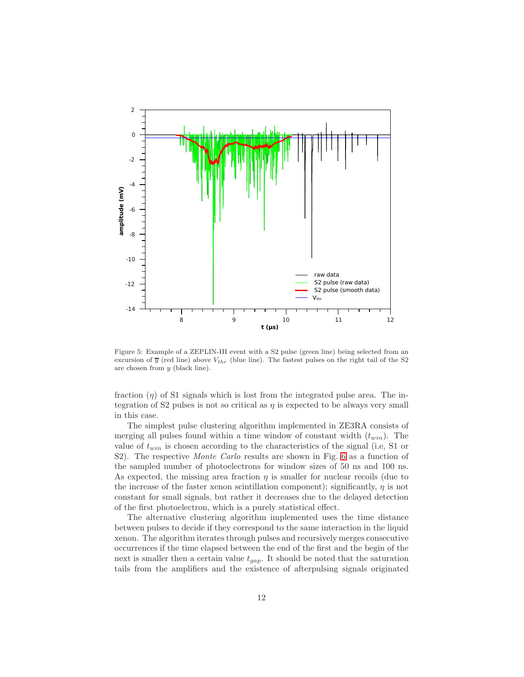

<span id="page-11-0"></span>Figure 5: Example of a ZEPLIN-III event with a S2 pulse (green line) being selected from an excursion of  $\overline{y}$  (red line) above  $V_{thr}$  (blue line). The fastest pulses on the right tail of the S2 are chosen from y (black line).

fraction  $(\eta)$  of S1 signals which is lost from the integrated pulse area. The integration of S2 pulses is not so critical as  $\eta$  is expected to be always very small in this case.

The simplest pulse clustering algorithm implemented in ZE3RA consists of merging all pulses found within a time window of constant width  $(t_{win})$ . The value of  $t_{win}$  is chosen according to the characteristics of the signal (i.e, S1 or S2). The respective *Monte Carlo* results are shown in Fig. [6](#page-12-0) as a function of the sampled number of photoelectrons for window sizes of 50 ns and 100 ns. As expected, the missing area fraction  $\eta$  is smaller for nuclear recoils (due to the increase of the faster xenon scintillation component); significantly,  $\eta$  is not constant for small signals, but rather it decreases due to the delayed detection of the first photoelectron, which is a purely statistical effect.

The alternative clustering algorithm implemented uses the time distance between pulses to decide if they correspond to the same interaction in the liquid xenon. The algorithm iterates through pulses and recursively merges consecutive occurrences if the time elapsed between the end of the first and the begin of the next is smaller then a certain value  $t_{gap}$ . It should be noted that the saturation tails from the amplifiers and the existence of afterpulsing signals originated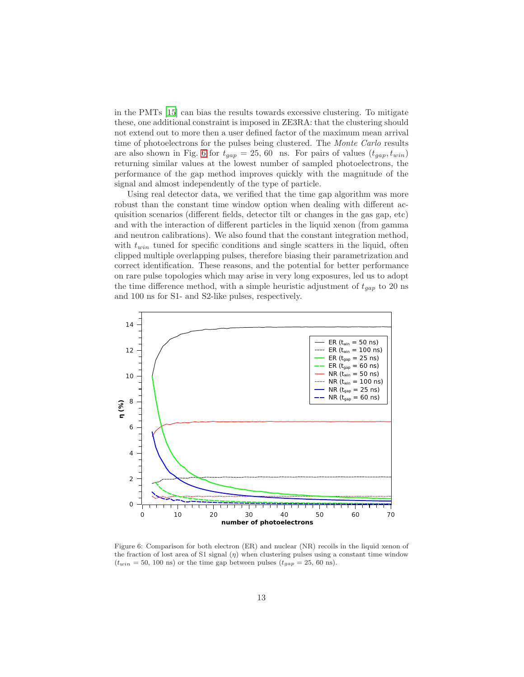in the PMTs [\[15\]](#page-18-1) can bias the results towards excessive clustering. To mitigate these, one additional constraint is imposed in ZE3RA: that the clustering should not extend out to more then a user defined factor of the maximum mean arrival time of photoelectrons for the pulses being clustered. The Monte Carlo results are also shown in Fig. [6](#page-12-0) for  $t_{gap} = 25, 60$  ns. For pairs of values  $(t_{gap}, t_{win})$ returning similar values at the lowest number of sampled photoelectrons, the performance of the gap method improves quickly with the magnitude of the signal and almost independently of the type of particle.

Using real detector data, we verified that the time gap algorithm was more robust than the constant time window option when dealing with different acquisition scenarios (different fields, detector tilt or changes in the gas gap, etc) and with the interaction of different particles in the liquid xenon (from gamma and neutron calibrations). We also found that the constant integration method, with  $t_{win}$  tuned for specific conditions and single scatters in the liquid, often clipped multiple overlapping pulses, therefore biasing their parametrization and correct identification. These reasons, and the potential for better performance on rare pulse topologies which may arise in very long exposures, led us to adopt the time difference method, with a simple heuristic adjustment of  $t_{gap}$  to 20 ns and 100 ns for S1- and S2-like pulses, respectively.



<span id="page-12-0"></span>Figure 6: Comparison for both electron (ER) and nuclear (NR) recoils in the liquid xenon of the fraction of lost area of S1 signal  $(\eta)$  when clustering pulses using a constant time window  $(t_{win} = 50, 100 \text{ ns})$  or the time gap between pulses  $(t_{gap} = 25, 60 \text{ ns})$ .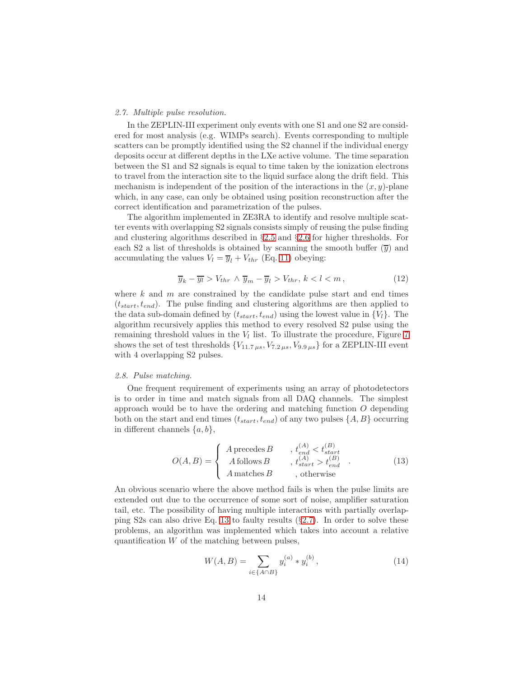## <span id="page-13-2"></span>2.7. Multiple pulse resolution.

In the ZEPLIN-III experiment only events with one S1 and one S2 are considered for most analysis (e.g. WIMPs search). Events corresponding to multiple scatters can be promptly identified using the S2 channel if the individual energy deposits occur at different depths in the LXe active volume. The time separation between the S1 and S2 signals is equal to time taken by the ionization electrons to travel from the interaction site to the liquid surface along the drift field. This mechanism is independent of the position of the interactions in the  $(x, y)$ -plane which, in any case, can only be obtained using position reconstruction after the correct identification and parametrization of the pulses.

The algorithm implemented in ZE3RA to identify and resolve multiple scatter events with overlapping S2 signals consists simply of reusing the pulse finding and clustering algorithms described in §[2.5](#page-10-0) and §[2.6](#page-10-1) for higher thresholds. For each S2 a list of thresholds is obtained by scanning the smooth buffer  $(\overline{y})$  and accumulating the values  $V_l = \overline{y}_l + V_{thr}$  (Eq. [11\)](#page-10-2) obeying:

$$
\overline{y}_k - \overline{y_l} > V_{thr} \wedge \overline{y}_m - \overline{y}_l > V_{thr}, \, k < l < m \,, \tag{12}
$$

where  $k$  and  $m$  are constrained by the candidate pulse start and end times  $(t_{start}, t_{end})$ . The pulse finding and clustering algorithms are then applied to the data sub-domain defined by  $(t_{start}, t_{end})$  using the lowest value in  $\{V_l\}$ . The algorithm recursively applies this method to every resolved S2 pulse using the remaining threshold values in the  $V_l$  list. To illustrate the procedure, Figure [7](#page-14-0) shows the set of test thresholds  $\{V_{11.7 \mu s}, V_{7.2 \mu s}, V_{9.9 \mu s}\}$  for a ZEPLIN-III event with 4 overlapping S2 pulses.

# <span id="page-13-0"></span>2.8. Pulse matching.

One frequent requirement of experiments using an array of photodetectors is to order in time and match signals from all DAQ channels. The simplest approach would be to have the ordering and matching function O depending both on the start and end times  $(t_{start}, t_{end})$  of any two pulses  $\{A, B\}$  occurring in different channels  $\{a, b\},\$ 

<span id="page-13-1"></span>
$$
O(A, B) = \begin{cases} A \text{ precedes } B & , t_{end}^{(A)} < t_{start}^{(B)} \\ A \text{ follows } B & , t_{start}^{(A)} > t_{end}^{(B)} \\ A \text{ matches } B & , \text{ otherwise} \end{cases}
$$
 (13)

An obvious scenario where the above method fails is when the pulse limits are extended out due to the occurrence of some sort of noise, amplifier saturation tail, etc. The possibility of having multiple interactions with partially overlapping S2s can also drive Eq. [13](#page-13-1) to faulty results (§[2.7\)](#page-13-2). In order to solve these problems, an algorithm was implemented which takes into account a relative quantification  $W$  of the matching between pulses,

<span id="page-13-3"></span>
$$
W(A, B) = \sum_{i \in \{A \cap B\}} y_i^{(a)} * y_i^{(b)}, \qquad (14)
$$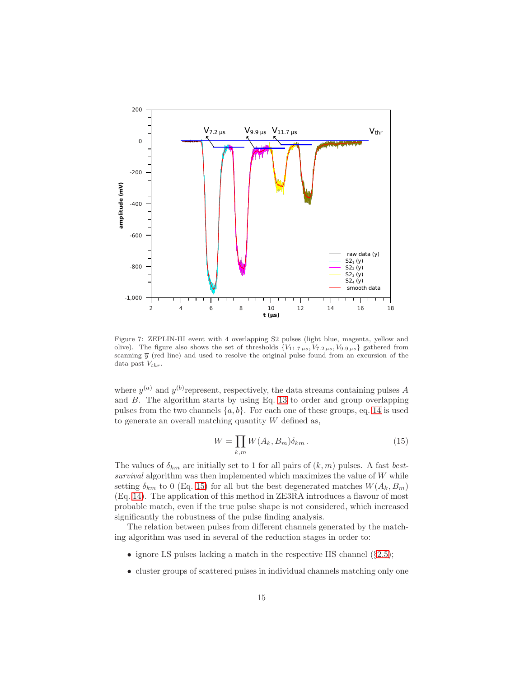

<span id="page-14-0"></span>Figure 7: ZEPLIN-III event with 4 overlapping S2 pulses (light blue, magenta, yellow and olive). The figure also shows the set of thresholds  ${V_{11.7 \mu s}, V_{7.2 \mu s}, V_{9.9 \mu s}}$  gathered from scanning  $\overline{y}$  (red line) and used to resolve the original pulse found from an excursion of the data past  $V_{thr}$ .

where  $y^{(a)}$  and  $y^{(b)}$  represent, respectively, the data streams containing pulses A and B. The algorithm starts by using Eq. [13](#page-13-1) to order and group overlapping pulses from the two channels  $\{a, b\}$ . For each one of these groups, eq. [14](#page-13-3) is used to generate an overall matching quantity  $W$  defined as,

<span id="page-14-1"></span>
$$
W = \prod_{k,m} W(A_k, B_m) \delta_{km} . \tag{15}
$$

The values of  $\delta_{km}$  are initially set to 1 for all pairs of  $(k, m)$  pulses. A fast bestsurvival algorithm was then implemented which maximizes the value of  $W$  while setting  $\delta_{km}$  to 0 (Eq. [15\)](#page-14-1) for all but the best degenerated matches  $W(A_k, B_m)$ (Eq. [14\)](#page-13-3). The application of this method in ZE3RA introduces a flavour of most probable match, even if the true pulse shape is not considered, which increased significantly the robustness of the pulse finding analysis.

The relation between pulses from different channels generated by the matching algorithm was used in several of the reduction stages in order to:

- ignore LS pulses lacking a match in the respective HS channel  $(\S 2.5)$  $(\S 2.5)$ ;
- cluster groups of scattered pulses in individual channels matching only one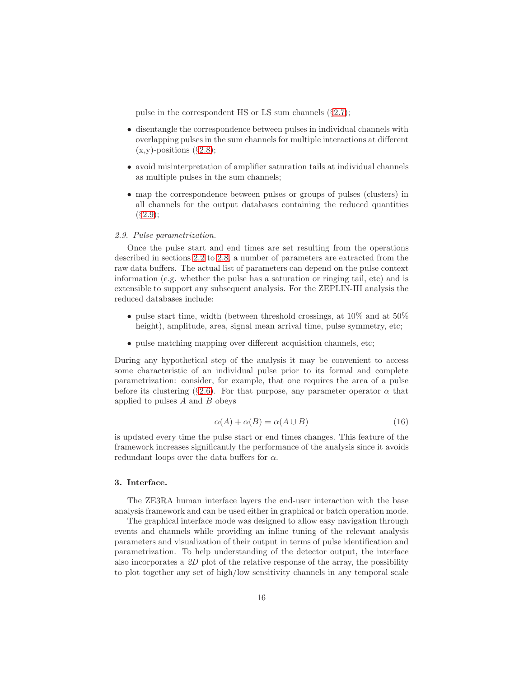pulse in the correspondent HS or LS sum channels (§[2.7\)](#page-13-2);

- disentangle the correspondence between pulses in individual channels with overlapping pulses in the sum channels for multiple interactions at different  $(x,y)$ -positions  $(\S2.8);$  $(\S2.8);$  $(\S2.8);$
- avoid misinterpretation of amplifier saturation tails at individual channels as multiple pulses in the sum channels;
- map the correspondence between pulses or groups of pulses (clusters) in all channels for the output databases containing the reduced quantities  $(S2.9);$  $(S2.9);$  $(S2.9);$

## <span id="page-15-0"></span>2.9. Pulse parametrization.

Once the pulse start and end times are set resulting from the operations described in sections [2.2](#page-4-3) to [2.8,](#page-13-0) a number of parameters are extracted from the raw data buffers. The actual list of parameters can depend on the pulse context information (e.g. whether the pulse has a saturation or ringing tail, etc) and is extensible to support any subsequent analysis. For the ZEPLIN-III analysis the reduced databases include:

- pulse start time, width (between threshold crossings, at 10% and at 50% height), amplitude, area, signal mean arrival time, pulse symmetry, etc;
- pulse matching mapping over different acquisition channels, etc;

During any hypothetical step of the analysis it may be convenient to access some characteristic of an individual pulse prior to its formal and complete parametrization: consider, for example, that one requires the area of a pulse before its clustering (§[2.6\)](#page-10-1). For that purpose, any parameter operator  $\alpha$  that applied to pulses  $A$  and  $B$  obeys

$$
\alpha(A) + \alpha(B) = \alpha(A \cup B) \tag{16}
$$

is updated every time the pulse start or end times changes. This feature of the framework increases significantly the performance of the analysis since it avoids redundant loops over the data buffers for  $\alpha$ .

#### 3. Interface.

The ZE3RA human interface layers the end-user interaction with the base analysis framework and can be used either in graphical or batch operation mode.

The graphical interface mode was designed to allow easy navigation through events and channels while providing an inline tuning of the relevant analysis parameters and visualization of their output in terms of pulse identification and parametrization. To help understanding of the detector output, the interface also incorporates a  $2D$  plot of the relative response of the array, the possibility to plot together any set of high/low sensitivity channels in any temporal scale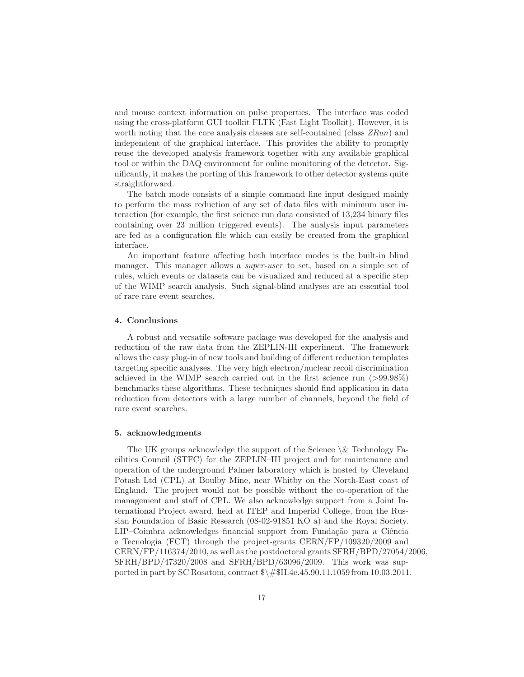and mouse context information on pulse properties. The interface was coded using the cross-platform GUI toolkit FLTK (Fast Light Toolkit). However, it is worth noting that the core analysis classes are self-contained (class  $ZRun$ ) and independent of the graphical interface. This provides the ability to promptly reuse the developed analysis framework together with any available graphical tool or within the DAQ environment for online monitoring of the detector. Significantly, it makes the porting of this framework to other detector systems quite straightforward.

The batch mode consists of a simple command line input designed mainly to perform the mass reduction of any set of data files with minimum user interaction (for example, the first science run data consisted of 13,234 binary files containing over 23 million triggered events). The analysis input parameters are fed as a configuration file which can easily be created from the graphical interface.

An important feature affecting both interface modes is the built-in blind manager. This manager allows a *super-user* to set, based on a simple set of rules, which events or datasets can be visualized and reduced at a specific step of the WIMP search analysis. Such signal-blind analyses are an essential tool of rare rare event searches.

# 4. Conclusions

A robust and versatile software package was developed for the analysis and reduction of the raw data from the ZEPLIN-III experiment. The framework allows the easy plug-in of new tools and building of different reduction templates targeting specific analyses. The very high electron/nuclear recoil discrimination achieved in the WIMP search carried out in the first science run (>99.98%) benchmarks these algorithms. These techniques should find application in data reduction from detectors with a large number of channels, beyond the field of rare event searches.

# 5. acknowledgments

The UK groups acknowledge the support of the Science  $\&$  Technology Facilities Council (STFC) for the ZEPLIN–III project and for maintenance and operation of the underground Palmer laboratory which is hosted by Cleveland Potash Ltd (CPL) at Boulby Mine, near Whitby on the North-East coast of England. The project would not be possible without the co-operation of the management and staff of CPL. We also acknowledge support from a Joint International Project award, held at ITEP and Imperial College, from the Russian Foundation of Basic Research (08-02-91851 KO a) and the Royal Society. LIP–Coimbra acknowledges financial support from Fundação para a Ciência e Tecnologia (FCT) through the project-grants CERN/FP/109320/2009 and CERN/FP/116374/2010, as well as the postdoctoral grants SFRH/BPD/27054/2006, SFRH/BPD/47320/2008 and SFRH/BPD/63096/2009. This work was supported in part by SC Rosatom, contract \$\#\$H.4e.45.90.11.1059 from 10.03.2011.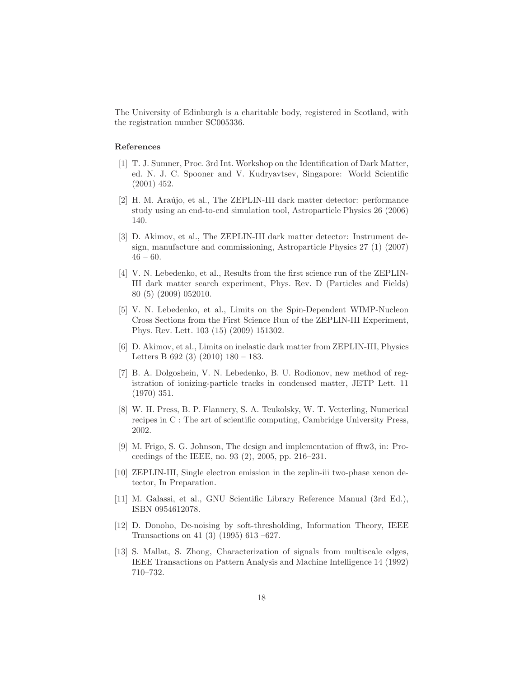The University of Edinburgh is a charitable body, registered in Scotland, with the registration number SC005336.

## References

- <span id="page-17-0"></span>[1] T. J. Sumner, Proc. 3rd Int. Workshop on the Identification of Dark Matter, ed. N. J. C. Spooner and V. Kudryavtsev, Singapore: World Scientific (2001) 452.
- <span id="page-17-1"></span>[2] H. M. Araújo, et al., The ZEPLIN-III dark matter detector: performance study using an end-to-end simulation tool, Astroparticle Physics 26 (2006) 140.
- <span id="page-17-2"></span>[3] D. Akimov, et al., The ZEPLIN-III dark matter detector: Instrument design, manufacture and commissioning, Astroparticle Physics 27 (1) (2007)  $46 - 60.$
- <span id="page-17-3"></span>[4] V. N. Lebedenko, et al., Results from the first science run of the ZEPLIN-III dark matter search experiment, Phys. Rev. D (Particles and Fields) 80 (5) (2009) 052010.
- <span id="page-17-4"></span>[5] V. N. Lebedenko, et al., Limits on the Spin-Dependent WIMP-Nucleon Cross Sections from the First Science Run of the ZEPLIN-III Experiment, Phys. Rev. Lett. 103 (15) (2009) 151302.
- <span id="page-17-5"></span>[6] D. Akimov, et al., Limits on inelastic dark matter from ZEPLIN-III, Physics Letters B 692 (3) (2010) 180 – 183.
- <span id="page-17-6"></span>[7] B. A. Dolgoshein, V. N. Lebedenko, B. U. Rodionov, new method of registration of ionizing-particle tracks in condensed matter, JETP Lett. 11 (1970) 351.
- <span id="page-17-7"></span>[8] W. H. Press, B. P. Flannery, S. A. Teukolsky, W. T. Vetterling, Numerical recipes in C : The art of scientific computing, Cambridge University Press, 2002.
- <span id="page-17-8"></span>[9] M. Frigo, S. G. Johnson, The design and implementation of fftw3, in: Proceedings of the IEEE, no. 93 (2), 2005, pp. 216–231.
- <span id="page-17-9"></span>[10] ZEPLIN-III, Single electron emission in the zeplin-iii two-phase xenon detector, In Preparation.
- <span id="page-17-10"></span>[11] M. Galassi, et al., GNU Scientific Library Reference Manual (3rd Ed.), ISBN 0954612078.
- <span id="page-17-11"></span>[12] D. Donoho, De-noising by soft-thresholding, Information Theory, IEEE Transactions on 41 (3) (1995) 613 –627.
- <span id="page-17-12"></span>[13] S. Mallat, S. Zhong, Characterization of signals from multiscale edges, IEEE Transactions on Pattern Analysis and Machine Intelligence 14 (1992) 710–732.